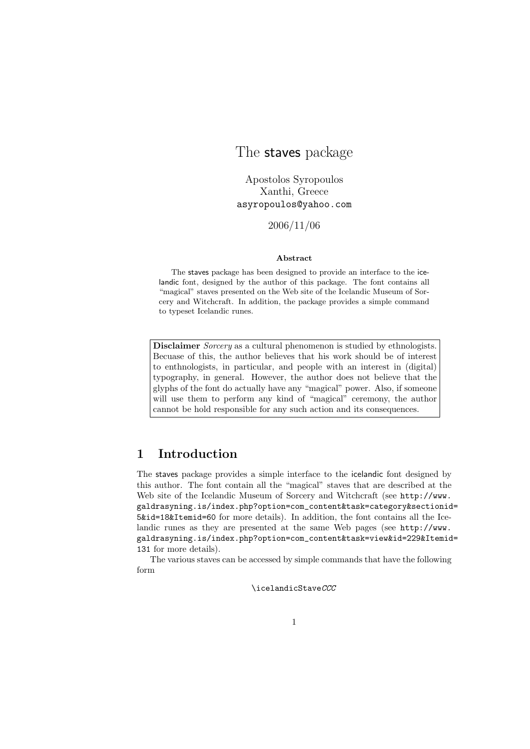# The staves package

Apostolos Syropoulos Xanthi, Greece asyropoulos@yahoo.com

2006/11/06

#### Abstract

The staves package has been designed to provide an interface to the icelandic font, designed by the author of this package. The font contains all "magical" staves presented on the Web site of the Icelandic Museum of Sorcery and Witchcraft. In addition, the package provides a simple command to typeset Icelandic runes.

Disclaimer *Sorcery* as a cultural phenomenon is studied by ethnologists. Becuase of this, the author believes that his work should be of interest to enthnologists, in particular, and people with an interest in (digital) typography, in general. However, the author does not believe that the glyphs of the font do actually have any "magical" power. Also, if someone will use them to perform any kind of "magical" ceremony, the author cannot be hold responsible for any such action and its consequences.

### 1 Introduction

The staves package provides a simple interface to the icelandic font designed by this author. The font contain all the "magical" staves that are described at the Web site of the Icelandic Museum of Sorcery and Witchcraft (see http://www. galdrasyning.is/index.php?option=com\_content&task=category&sectionid= 5&id=18&Itemid=60 for more details). In addition, the font contains all the Icelandic runes as they are presented at the same Web pages (see http://www. galdrasyning.is/index.php?option=com\_content&task=view&id=229&Itemid= 131 for more details).

The various staves can be accessed by simple commands that have the following form

\icelandicStaveCCC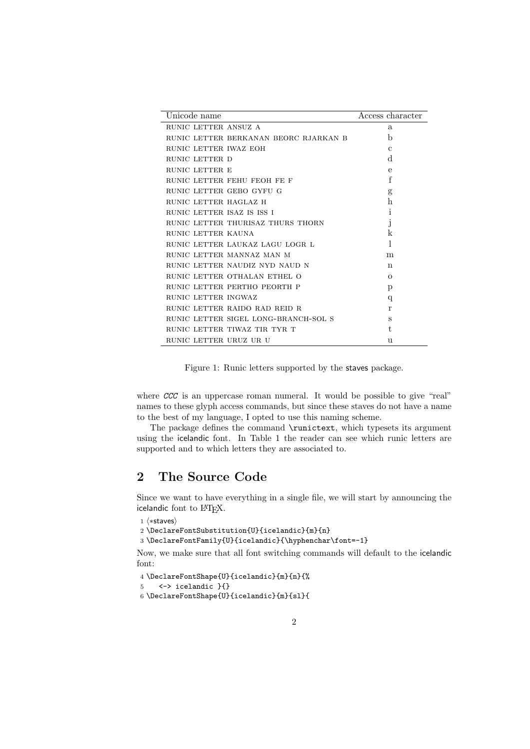| Unicode name                          | Access character |
|---------------------------------------|------------------|
| RUNIC LETTER ANSUZ A                  | a                |
| RUNIC LETTER BERKANAN BEORC RJARKAN B | b                |
| RUNIC LETTER IWAZ EOH                 | $\mathbf{C}$     |
| RUNIC LETTER D                        | d                |
| RUNIC LETTER E                        | $\mathbf e$      |
| RUNIC LETTER FEHU FEOH FE F           | f                |
| RUNIC LETTER GEBO GYFU G              | g                |
| RUNIC LETTER HAGLAZ H                 | h                |
| RUNIC LETTER ISAZ IS ISS I            | 1                |
| RUNIC LETTER THURISAZ THURS THORN     | J                |
| RUNIC LETTER KAUNA                    | k                |
| RUNIC LETTER LAUKAZ LAGU LOGR L       | 1                |
| RUNIC LETTER MANNAZ MAN M             | m                |
| RUNIC LETTER NAUDIZ NYD NAUD N        | n                |
| RUNIC LETTER OTHALAN ETHEL O          | $\Omega$         |
| RUNIC LETTER PERTHO PEORTH P          | p                |
| RUNIC LETTER INGWAZ                   | q                |
| RUNIC LETTER RAIDO RAD REID R         | r                |
| RUNIC LETTER SIGEL LONG-BRANCH-SOL S  | S                |
| RUNIC LETTER TIWAZ TIR TYR T          | t.               |
| RUNIC LETTER URUZ UR U                | 11               |

Figure 1: Runic letters supported by the staves package.

where CCC is an uppercase roman numeral. It would be possible to give "real" names to these glyph access commands, but since these staves do not have a name to the best of my language, I opted to use this naming scheme.

The package defines the command \runictext, which typesets its argument using the icelandic font. In Table 1 the reader can see which runic letters are supported and to which letters they are associated to.

# 2 The Source Code

Since we want to have everything in a single file, we will start by announcing the icelandic font to L<sup>AT</sup>FX.

```
1 \langle *staves \rangle
```

```
2 \DeclareFontSubstitution{U}{icelandic}{m}{n}
```
3 \DeclareFontFamily{U}{icelandic}{\hyphenchar\font=-1}

Now, we make sure that all font switching commands will default to the icelandic font:

```
4 \DeclareFontShape{U}{icelandic}{m}{n}{%
5 <-> icelandic }{}
```

```
6 \DeclareFontShape{U}{icelandic}{m}{sl}{
```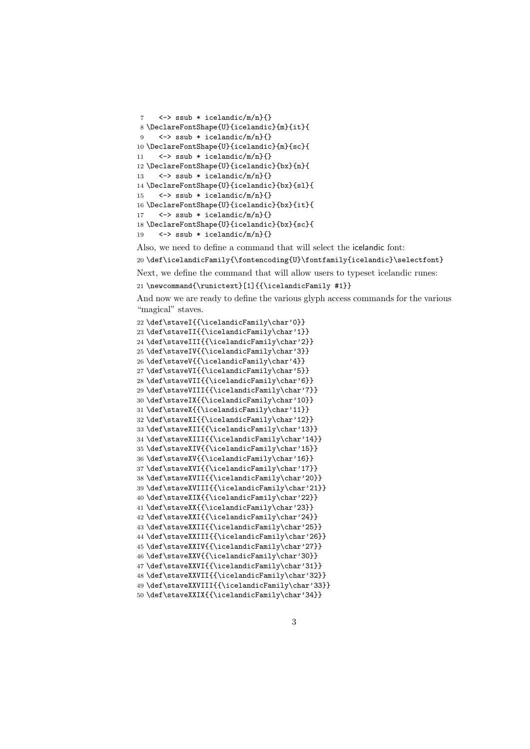```
7 \leq \rightarrow ssub * icelandic/m/n}{}
8 \DeclareFontShape{U}{icelandic}{m}{it}{
9 <-> ssub * icelandic/m/n}{}
10 \DeclareFontShape{U}{icelandic}{m}{sc}{
11 \leftarrow ssub * icelandic/m/n}{}
12 \DeclareFontShape{U}{icelandic}{bx}{n}{
13 \leftarrow ssub * icelandic/m/n}{}
14 \DeclareFontShape{U}{icelandic}{bx}{sl}{
15 \leftarrow ssub * icelandic/m/n}{}
16 \DeclareFontShape{U}{icelandic}{bx}{it}{
17 \leq \rightarrow ssub * icelandic/m/n}{}
18 \DeclareFontShape{U}{icelandic}{bx}{sc}{
19 \leftarrow ssub * icelandic/m/n}{}
```
Also, we need to define a command that will select the icelandic font:

20 \def\icelandicFamily{\fontencoding{U}\fontfamily{icelandic}\selectfont}

Next, we define the command that will allow users to typeset icelandic runes:

```
21 \newcommand{\runictext}[1]{{\icelandicFamily #1}}
```
And now we are ready to define the various glyph access commands for the various "magical" staves.

```
22 \def\staveI{{\icelandicFamily\char'0}}
23 \def\staveII{{\icelandicFamily\char'1}}
24 \def\staveIII{{\icelandicFamily\char'2}}
25 \def\staveIV{{\icelandicFamily\char'3}}
26 \def\staveV{{\icelandicFamily\char'4}}
27 \def\staveVI{{\icelandicFamily\char'5}}
28 \def\staveVII{{\icelandicFamily\char'6}}
29 \def\staveVIII{{\icelandicFamily\char'7}}
30 \def\staveIX{{\icelandicFamily\char'10}}
31 \def\staveX{{\icelandicFamily\char'11}}
32 \def\staveXI{{\icelandicFamily\char'12}}
33 \def\staveXII{{\icelandicFamily\char'13}}
34 \def\staveXIII{{\icelandicFamily\char'14}}
35 \def\staveXIV{{\icelandicFamily\char'15}}
36 \def\staveXV{{\icelandicFamily\char'16}}
37 \def\staveXVI{{\icelandicFamily\char'17}}
38 \def\staveXVII{{\icelandicFamily\char'20}}
39 \def\staveXVIII{{\icelandicFamily\char'21}}
40 \def \staveXIX{\thinspace}F141 \def\staveXX{{\icelandicFamily\char'23}}
42 \def\staveXXI{{\icelandicFamily\char'24}}
43 \def\staveXXII{{\icelandicFamily\char'25}}
44 \def\staveXXIII{{\icelandicFamily\char'26}}
45 \def\staveXXIV{{\icelandicFamily\char'27}}
46 \def\staveXXV{{\icelandicFamily\char'30}}
47 \def\staveXXVI{{\icelandicFamily\char'31}}
48 \def\staveXXVII{{\icelandicFamily\char'32}}
49 \def\staveXXVIII{{\icelandicFamily\char'33}}
50 \def\staveXXIX{{\icelandicFamily\char'34}}
```